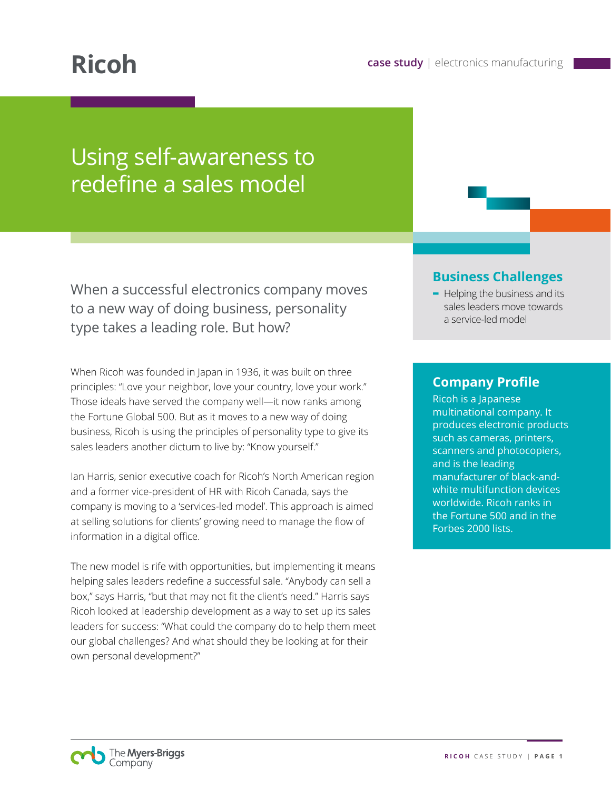# Using self-awareness to redefine a sales model

When a successful electronics company moves to a new way of doing business, personality type takes a leading role. But how?

When Ricoh was founded in Japan in 1936, it was built on three principles: "Love your neighbor, love your country, love your work." Those ideals have served the company well—it now ranks among the Fortune Global 500. But as it moves to a new way of doing business, Ricoh is using the principles of personality type to give its sales leaders another dictum to live by: "Know yourself."

Ian Harris, senior executive coach for Ricoh's North American region and a former vice-president of HR with Ricoh Canada, says the company is moving to a 'services-led model'. This approach is aimed at selling solutions for clients' growing need to manage the flow of information in a digital office.

The new model is rife with opportunities, but implementing it means helping sales leaders redefine a successful sale. "Anybody can sell a box," says Harris, "but that may not fit the client's need." Harris says Ricoh looked at leadership development as a way to set up its sales leaders for success: "What could the company do to help them meet our global challenges? And what should they be looking at for their own personal development?"

#### **Business Challenges**

**-** Helping the business and its sales leaders move towards a service-led model

### **Company Profile**

Ricoh is a Japanese multinational company. It produces electronic products such as cameras, printers, scanners and photocopiers, and is the leading manufacturer of black-andwhite multifunction devices worldwide. Ricoh ranks in the Fortune 500 and in the Forbes 2000 lists.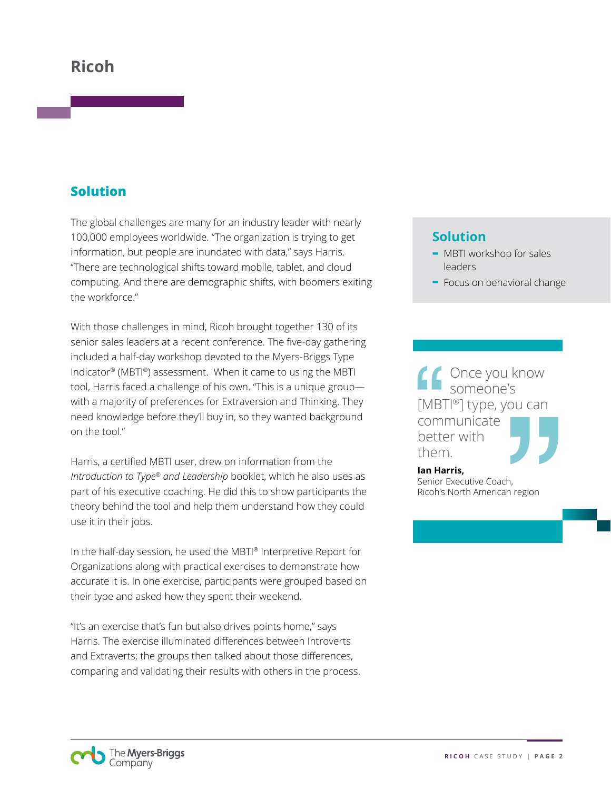## **Ricoh**

### **Solution**

The global challenges are many for an industry leader with nearly 100,000 employees worldwide. "The organization is trying to get information, but people are inundated with data," says Harris. "There are technological shifts toward mobile, tablet, and cloud computing. And there are demographic shifts, with boomers exiting the workforce."

With those challenges in mind, Ricoh brought together 130 of its senior sales leaders at a recent conference. The five-day gathering included a half-day workshop devoted to the Myers-Briggs Type Indicator® (MBTI®) assessment. When it came to using the MBTI tool, Harris faced a challenge of his own. "This is a unique group with a majority of preferences for Extraversion and Thinking. They need knowledge before they'll buy in, so they wanted background on the tool."

Harris, a certified MBTI user, drew on information from the *Introduction to Type® and Leadership* booklet, which he also uses as part of his executive coaching. He did this to show participants the theory behind the tool and help them understand how they could use it in their jobs.

In the half-day session, he used the MBTI® Interpretive Report for Organizations along with practical exercises to demonstrate how accurate it is. In one exercise, participants were grouped based on their type and asked how they spent their weekend.

"It's an exercise that's fun but also drives points home," says Harris. The exercise illuminated differences between Introverts and Extraverts; the groups then talked about those differences, comparing and validating their results with others in the process.

#### **Solution**

- **-** MBTI workshop for sales leaders
- **-** Focus on behavioral change

Once you know someone's [MBTI®] type, you can communicate better with them.

**Ian Harris,**  Senior Executive Coach, Ricoh's North American region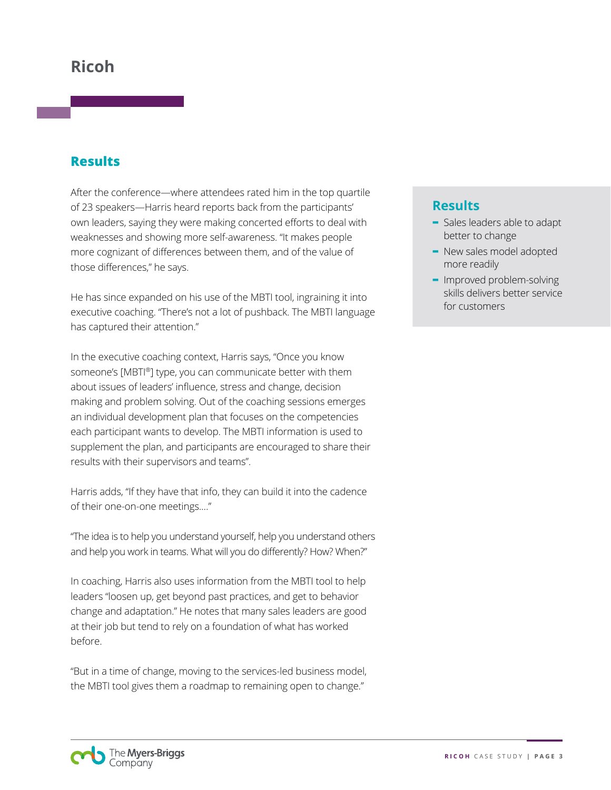## **Ricoh**

#### **Results**

After the conference—where attendees rated him in the top quartile of 23 speakers—Harris heard reports back from the participants' own leaders, saying they were making concerted efforts to deal with weaknesses and showing more self-awareness. "It makes people more cognizant of differences between them, and of the value of those differences," he says.

He has since expanded on his use of the MBTI tool, ingraining it into executive coaching. "There's not a lot of pushback. The MBTI language has captured their attention."

In the executive coaching context, Harris says, "Once you know someone's [MBTI®] type, you can communicate better with them about issues of leaders' influence, stress and change, decision making and problem solving. Out of the coaching sessions emerges an individual development plan that focuses on the competencies each participant wants to develop. The MBTI information is used to supplement the plan, and participants are encouraged to share their results with their supervisors and teams".

Harris adds, "If they have that info, they can build it into the cadence of their one-on-one meetings.…"

"The idea is to help you understand yourself, help you understand others and help you work in teams. What will you do differently? How? When?"

In coaching, Harris also uses information from the MBTI tool to help leaders "loosen up, get beyond past practices, and get to behavior change and adaptation." He notes that many sales leaders are good at their job but tend to rely on a foundation of what has worked before.

"But in a time of change, moving to the services-led business model, the MBTI tool gives them a roadmap to remaining open to change."

### **Results**

- **-** Sales leaders able to adapt better to change
- **-** New sales model adopted more readily
- **-** Improved problem-solving skills delivers better service for customers